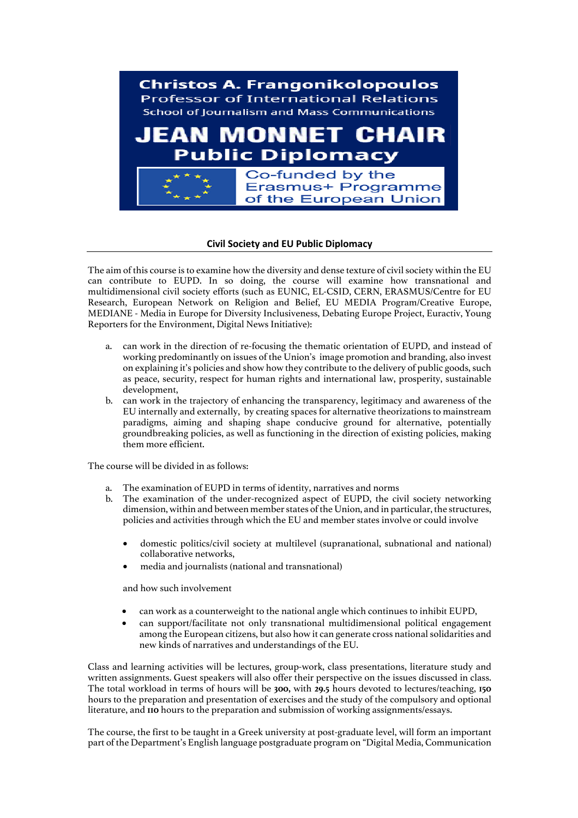

## **Civil Society and EU Public Diplomacy**

The aim of this course is to examine how the diversity and dense texture of civil society within the EU can contribute to EUPD. In so doing, the course will examine how transnational and multidimensional civil society efforts (such as EUNIC, EL-CSID, CERN, ERASMUS/Centre for EU Research, European Network on Religion and Belief, EU MEDIA Program/Creative Europe, MEDIANE - Media in Europe for Diversity Inclusiveness, Debating Europe Project, Euractiv, Young Reporters for the Environment, Digital News Initiative):

- a. can work in the direction of re-focusing the thematic orientation of EUPD, and instead of working predominantly on issues of the Union's image promotion and branding, also invest on explaining it's policies and show how they contribute to the delivery of public goods, such as peace, security, respect for human rights and international law, prosperity, sustainable development,
- b. can work in the trajectory of enhancing the transparency, legitimacy and awareness of the EU internally and externally, by creating spaces for alternative theorizations to mainstream paradigms, aiming and shaping shape conducive ground for alternative, potentially groundbreaking policies, as well as functioning in the direction of existing policies, making them more efficient.

The course will be divided in as follows:

- a. The examination of EUPD in terms of identity, narratives and norms
- b. The examination of the under-recognized aspect of EUPD, the civil society networking dimension, within and between member states of the Union, and in particular, the structures, policies and activities through which the EU and member states involve or could involve
	- domestic politics/civil society at multilevel (supranational, subnational and national) collaborative networks,
	- media and journalists (national and transnational)

and how such involvement

- can work as a counterweight to the national angle which continues to inhibit EUPD,
- can support/facilitate not only transnational multidimensional political engagement among the European citizens, but also how it can generate cross national solidarities and new kinds of narratives and understandings of the EU.

Class and learning activities will be lectures, group-work, class presentations, literature study and written assignments. Guest speakers will also offer their perspective on the issues discussed in class. The total workload in terms of hours will be **300,** with **29.5** hours devoted to lectures/teaching, **150** hours to the preparation and presentation of exercises and the study of the compulsory and optional literature, and **110** hours to the preparation and submission of working assignments/essays.

The course, the first to be taught in a Greek university at post-graduate level, will form an important part of the Department's English language postgraduate program on "Digital Media, Communication